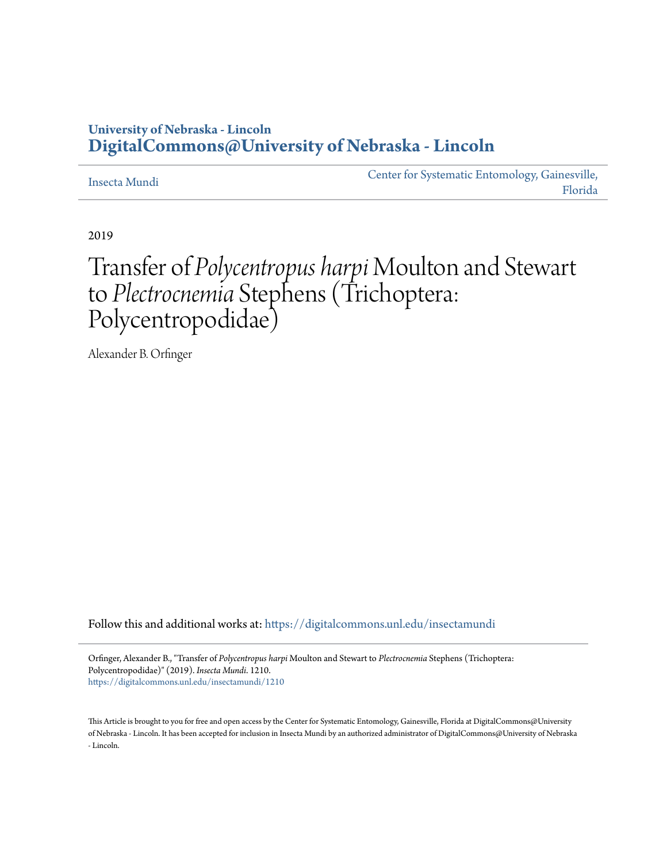### **University of Nebraska - Lincoln [DigitalCommons@University of Nebraska - Lincoln](https://digitalcommons.unl.edu/?utm_source=digitalcommons.unl.edu%2Finsectamundi%2F1210&utm_medium=PDF&utm_campaign=PDFCoverPages)**

#### [Insecta Mundi](https://digitalcommons.unl.edu/insectamundi?utm_source=digitalcommons.unl.edu%2Finsectamundi%2F1210&utm_medium=PDF&utm_campaign=PDFCoverPages)

[Center for Systematic Entomology, Gainesville,](https://digitalcommons.unl.edu/centersystematicentomology?utm_source=digitalcommons.unl.edu%2Finsectamundi%2F1210&utm_medium=PDF&utm_campaign=PDFCoverPages) [Florida](https://digitalcommons.unl.edu/centersystematicentomology?utm_source=digitalcommons.unl.edu%2Finsectamundi%2F1210&utm_medium=PDF&utm_campaign=PDFCoverPages)

2019

## Transfer of *Polycentropus harpi* Moulton and Stewart to *Plectrocnemia* Stephens (Trichoptera: Polycentropodidae)

Alexander B. Orfinger

Follow this and additional works at: [https://digitalcommons.unl.edu/insectamundi](https://digitalcommons.unl.edu/insectamundi?utm_source=digitalcommons.unl.edu%2Finsectamundi%2F1210&utm_medium=PDF&utm_campaign=PDFCoverPages)

Orfinger, Alexander B., "Transfer of *Polycentropus harpi* Moulton and Stewart to *Plectrocnemia* Stephens (Trichoptera: Polycentropodidae)" (2019). *Insecta Mundi*. 1210. [https://digitalcommons.unl.edu/insectamundi/1210](https://digitalcommons.unl.edu/insectamundi/1210?utm_source=digitalcommons.unl.edu%2Finsectamundi%2F1210&utm_medium=PDF&utm_campaign=PDFCoverPages)

This Article is brought to you for free and open access by the Center for Systematic Entomology, Gainesville, Florida at DigitalCommons@University of Nebraska - Lincoln. It has been accepted for inclusion in Insecta Mundi by an authorized administrator of DigitalCommons@University of Nebraska - Lincoln.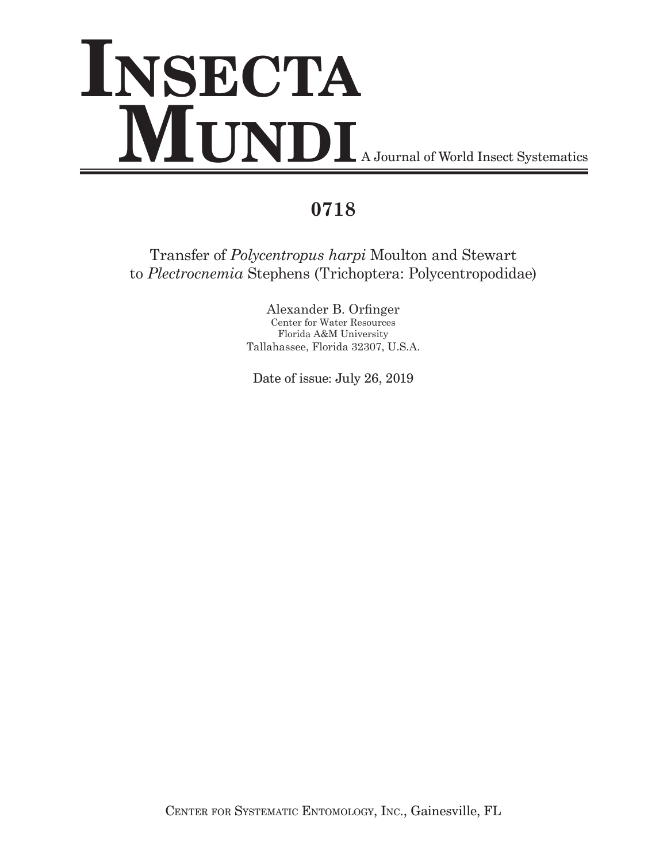# **Insecta MUNDI** A Journal of World Insect Systematics

## **0718**

Transfer of *Polycentropus harpi* Moulton and Stewart to *Plectrocnemia* Stephens (Trichoptera: Polycentropodidae)

> Alexander B. Orfinger Center for Water Resources Florida A&M University Tallahassee, Florida 32307, U.S.A.

Date of issue: July 26, 2019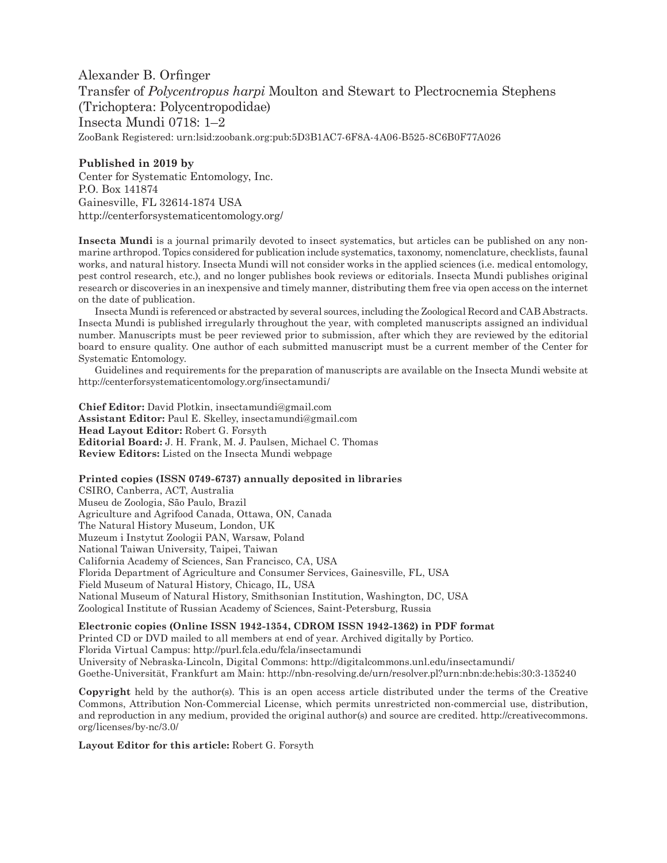Alexander B. Orfinger Transfer of *Polycentropus harpi* Moulton and Stewart to Plectrocnemia Stephens (Trichoptera: Polycentropodidae) Insecta Mundi 0718: 1–2 ZooBank Registered: urn:lsid:zoobank.org:pub:5D3B1AC7-6F8A-4A06-B525-8C6B0F77A026

#### **Published in 2019 by**

Center for Systematic Entomology, Inc. P.O. Box 141874 Gainesville, FL 32614-1874 USA <http://centerforsystematicentomology.org/>

**Insecta Mundi** is a journal primarily devoted to insect systematics, but articles can be published on any nonmarine arthropod. Topics considered for publication include systematics, taxonomy, nomenclature, checklists, faunal works, and natural history. Insecta Mundi will not consider works in the applied sciences (i.e. medical entomology, pest control research, etc.), and no longer publishes book reviews or editorials. Insecta Mundi publishes original research or discoveries in an inexpensive and timely manner, distributing them free via open access on the internet on the date of publication.

Insecta Mundi is referenced or abstracted by several sources, including the Zoological Record and CAB Abstracts. Insecta Mundi is published irregularly throughout the year, with completed manuscripts assigned an individual number. Manuscripts must be peer reviewed prior to submission, after which they are reviewed by the editorial board to ensure quality. One author of each submitted manuscript must be a current member of the Center for Systematic Entomology.

Guidelines and requirements for the preparation of manuscripts are available on the Insecta Mundi website at http://centerforsystematicentomology.org/insectamundi/

**Chief Editor:** David Plotkin, insectamundi@gmail.com **Assistant Editor:** Paul E. Skelley, insectamundi@gmail.com **Head Layout Editor:** Robert G. Forsyth **Editorial Board:** J. H. Frank, M. J. Paulsen, Michael C. Thomas **Review Editors:** Listed on the Insecta Mundi webpage

#### **Printed copies (ISSN 0749-6737) annually deposited in libraries**

CSIRO, Canberra, ACT, Australia Museu de Zoologia, São Paulo, Brazil Agriculture and Agrifood Canada, Ottawa, ON, Canada The Natural History Museum, London, UK Muzeum i Instytut Zoologii PAN, Warsaw, Poland National Taiwan University, Taipei, Taiwan California Academy of Sciences, San Francisco, CA, USA Florida Department of Agriculture and Consumer Services, Gainesville, FL, USA Field Museum of Natural History, Chicago, IL, USA National Museum of Natural History, Smithsonian Institution, Washington, DC, USA Zoological Institute of Russian Academy of Sciences, Saint-Petersburg, Russia

#### **Electronic copies (Online ISSN 1942-1354, CDROM ISSN 1942-1362) in PDF format**

Printed CD or DVD mailed to all members at end of year. Archived digitally by Portico. Florida Virtual Campus: <http://purl.fcla.edu/fcla/insectamundi> University of Nebraska-Lincoln, Digital Commons:<http://digitalcommons.unl.edu/insectamundi/> Goethe-Universität, Frankfurt am Main: <http://nbn-resolving.de/urn/resolver.pl?urn:nbn:de:hebis:30:3-135240>

**Copyright** held by the author(s). This is an open access article distributed under the terms of the Creative Commons, Attribution Non-Commercial License, which permits unrestricted non-commercial use, distribution, and reproduction in any medium, provided the original author(s) and source are credited. [http://creativecommons.](http://creativecommons.org/licenses/by-nc/3.0/) [org/licenses/by-nc/3.0/](http://creativecommons.org/licenses/by-nc/3.0/)

**Layout Editor for this article:** Robert G. Forsyth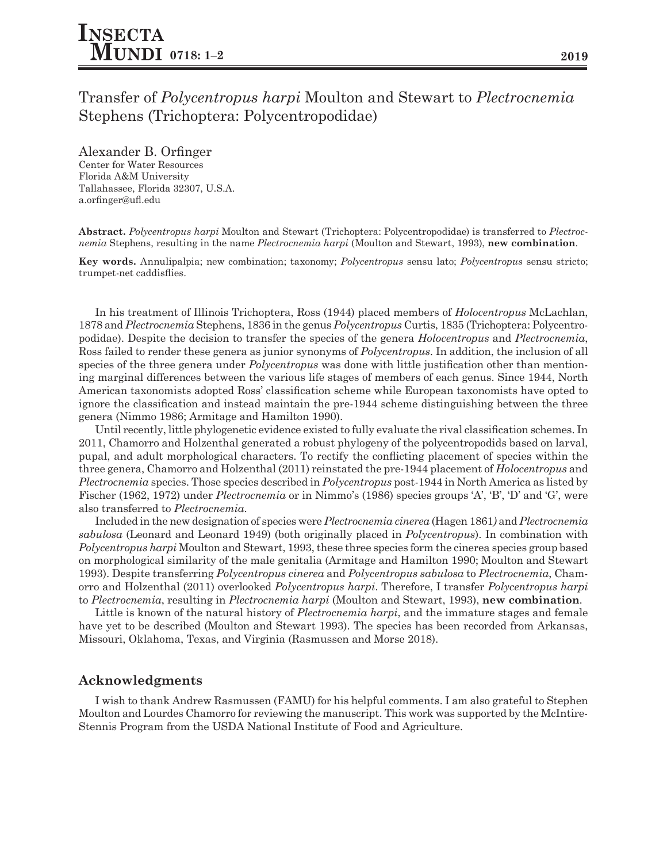#### Alexander B. Orfinger

Center for Water Resources Florida A&M University Tallahassee, Florida 32307, U.S.A. a.orfinger@ufl.edu

**Abstract.** *Polycentropus harpi* Moulton and Stewart (Trichoptera: Polycentropodidae) is transferred to *Plectrocnemia* Stephens, resulting in the name *Plectrocnemia harpi* (Moulton and Stewart, 1993), **new combination**.

**Key words.** Annulipalpia; new combination; taxonomy; *Polycentropus* sensu lato; *Polycentropus* sensu stricto; trumpet-net caddisflies.

In his treatment of Illinois Trichoptera, Ross (1944) placed members of *Holocentropus* McLachlan, 1878 and *Plectrocnemia* Stephens, 1836 in the genus *Polycentropus* Curtis, 1835 (Trichoptera: Polycentropodidae). Despite the decision to transfer the species of the genera *Holocentropus* and *Plectrocnemia*, Ross failed to render these genera as junior synonyms of *Polycentropus*. In addition, the inclusion of all species of the three genera under *Polycentropus* was done with little justification other than mentioning marginal differences between the various life stages of members of each genus. Since 1944, North American taxonomists adopted Ross' classification scheme while European taxonomists have opted to ignore the classification and instead maintain the pre-1944 scheme distinguishing between the three genera (Nimmo 1986; Armitage and Hamilton 1990).

Until recently, little phylogenetic evidence existed to fully evaluate the rival classification schemes. In 2011, Chamorro and Holzenthal generated a robust phylogeny of the polycentropodids based on larval, pupal, and adult morphological characters. To rectify the conflicting placement of species within the three genera, Chamorro and Holzenthal (2011) reinstated the pre-1944 placement of *Holocentropus* and *Plectrocnemia* species. Those species described in *Polycentropus* post-1944 in North America as listed by Fischer (1962, 1972) under *Plectrocnemia* or in Nimmo's (1986) species groups 'A', 'B', 'D' and 'G', were also transferred to *Plectrocnemia*.

Included in the new designation of species were *Plectrocnemia cinerea* (Hagen 1861*)* and *Plectrocnemia sabulosa* (Leonard and Leonard 1949) (both originally placed in *Polycentropus*). In combination with *Polycentropus harpi* Moulton and Stewart, 1993, these three species form the cinerea species group based on morphological similarity of the male genitalia (Armitage and Hamilton 1990; Moulton and Stewart 1993). Despite transferring *Polycentropus cinerea* and *Polycentropus sabulosa* to *Plectrocnemia*, Chamorro and Holzenthal (2011) overlooked *Polycentropus harpi*. Therefore, I transfer *Polycentropus harpi*  to *Plectrocnemia*, resulting in *Plectrocnemia harpi* (Moulton and Stewart, 1993), **new combination**.

Little is known of the natural history of *Plectrocnemia harpi*, and the immature stages and female have yet to be described (Moulton and Stewart 1993). The species has been recorded from Arkansas, Missouri, Oklahoma, Texas, and Virginia (Rasmussen and Morse 2018).

#### **Acknowledgments**

I wish to thank Andrew Rasmussen (FAMU) for his helpful comments. I am also grateful to Stephen Moulton and Lourdes Chamorro for reviewing the manuscript. This work was supported by the McIntire-Stennis Program from the USDA National Institute of Food and Agriculture.